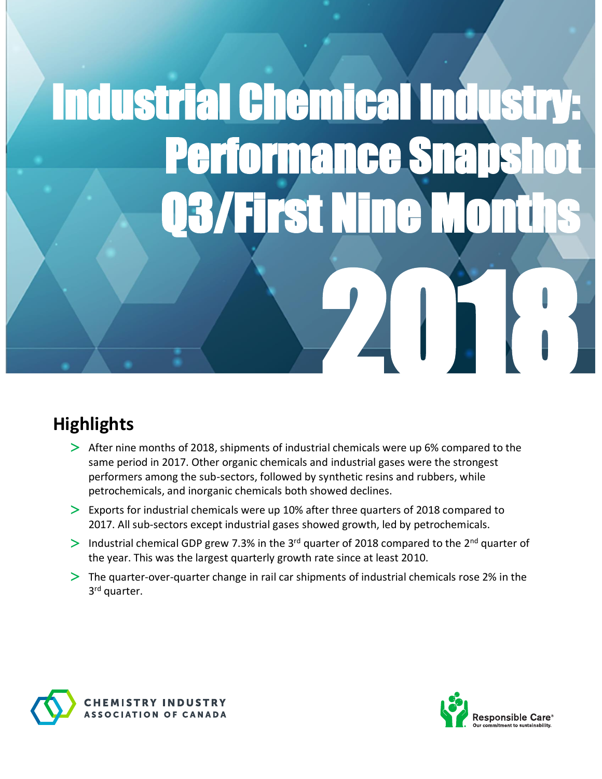# Industrial Chemical Industry: Performance Snaps Q3/First Nine M 2018

## **Highlights**

- After nine months of 2018, shipments of industrial chemicals were up 6% compared to the same period in 2017. Other organic chemicals and industrial gases were the strongest performers among the sub-sectors, followed by synthetic resins and rubbers, while petrochemicals, and inorganic chemicals both showed declines.
- $>$  Exports for industrial chemicals were up 10% after three quarters of 2018 compared to 2017. All sub-sectors except industrial gases showed growth, led by petrochemicals.
- > Industrial chemical GDP grew 7.3% in the 3<sup>rd</sup> quarter of 2018 compared to the 2<sup>nd</sup> quarter of the year. This was the largest quarterly growth rate since at least 2010.
- The quarter-over-quarter change in rail car shipments of industrial chemicals rose 2% in the 3<sup>rd</sup> quarter.



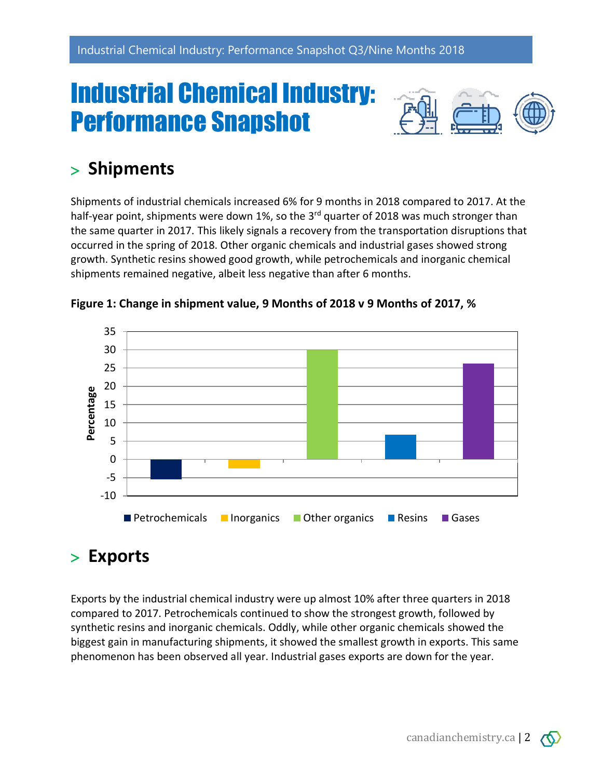## Industrial Chemical Industry: Performance Snapshot



## **Shipments**

Shipments of industrial chemicals increased 6% for 9 months in 2018 compared to 2017. At the half-year point, shipments were down 1%, so the 3<sup>rd</sup> quarter of 2018 was much stronger than the same quarter in 2017. This likely signals a recovery from the transportation disruptions that occurred in the spring of 2018. Other organic chemicals and industrial gases showed strong growth. Synthetic resins showed good growth, while petrochemicals and inorganic chemical shipments remained negative, albeit less negative than after 6 months.





## **Exports**

Exports by the industrial chemical industry were up almost 10% after three quarters in 2018 compared to 2017. Petrochemicals continued to show the strongest growth, followed by synthetic resins and inorganic chemicals. Oddly, while other organic chemicals showed the biggest gain in manufacturing shipments, it showed the smallest growth in exports. This same phenomenon has been observed all year. Industrial gases exports are down for the year.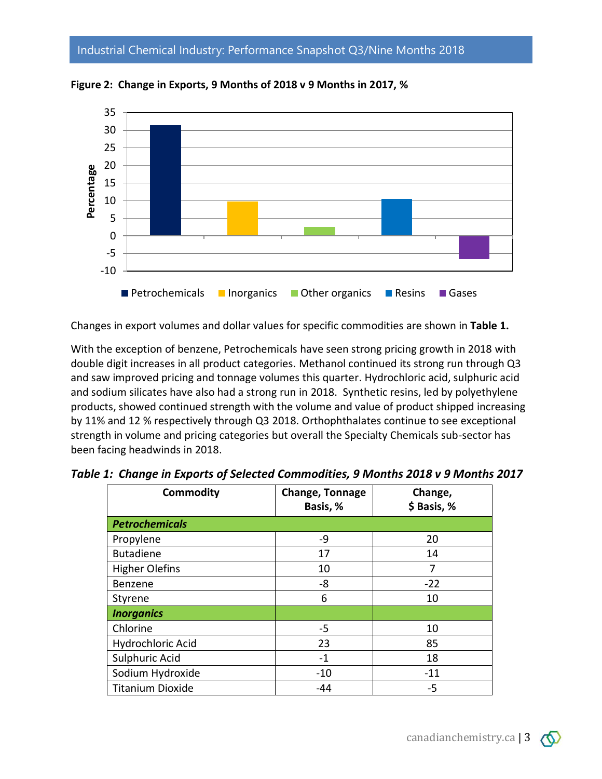#### Industrial Chemical Industry: Performance Snapshot Q3/Nine Months 2018



**Figure 2: Change in Exports, 9 Months of 2018 v 9 Months in 2017, %**

Changes in export volumes and dollar values for specific commodities are shown in **Table 1.**

With the exception of benzene, Petrochemicals have seen strong pricing growth in 2018 with double digit increases in all product categories. Methanol continued its strong run through Q3 and saw improved pricing and tonnage volumes this quarter. Hydrochloric acid, sulphuric acid and sodium silicates have also had a strong run in 2018. Synthetic resins, led by polyethylene products, showed continued strength with the volume and value of product shipped increasing by 11% and 12 % respectively through Q3 2018. Orthophthalates continue to see exceptional strength in volume and pricing categories but overall the Specialty Chemicals sub-sector has been facing headwinds in 2018.

| <b>Commodity</b>        | Change, Tonnage<br>Basis, % | Change,<br>\$ Basis, % |
|-------------------------|-----------------------------|------------------------|
| <b>Petrochemicals</b>   |                             |                        |
| Propylene               | -9                          | 20                     |
| <b>Butadiene</b>        | 17                          | 14                     |
| <b>Higher Olefins</b>   | 10                          |                        |
| <b>Benzene</b>          | -8                          | $-22$                  |
| Styrene                 | 6                           | 10                     |
| <b>Inorganics</b>       |                             |                        |
| Chlorine                | -5                          | 10                     |
| Hydrochloric Acid       | 23                          | 85                     |
| Sulphuric Acid          | $-1$                        | 18                     |
| Sodium Hydroxide        | $-10$                       | $-11$                  |
| <b>Titanium Dioxide</b> | -44                         | -5                     |

*Table 1: Change in Exports of Selected Commodities, 9 Months 2018 v 9 Months 2017*

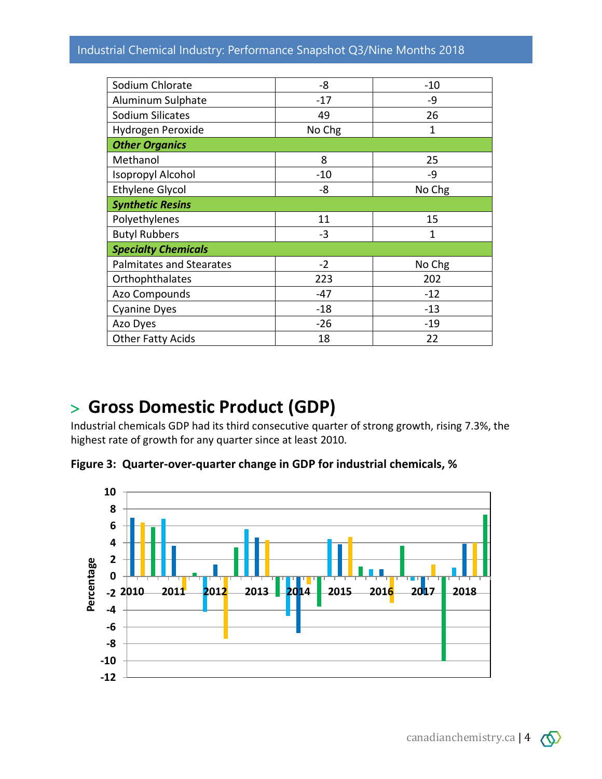#### Industrial Chemical Industry: Performance Snapshot Q3/Nine Months 2018

| Sodium Chlorate                 | -8     | $-10$  |  |
|---------------------------------|--------|--------|--|
| Aluminum Sulphate               | $-17$  | $-9$   |  |
| Sodium Silicates                | 49     | 26     |  |
| Hydrogen Peroxide               | No Chg | 1      |  |
| <b>Other Organics</b>           |        |        |  |
| Methanol                        | 8      | 25     |  |
| <b>Isopropyl Alcohol</b>        | $-10$  | -9     |  |
| <b>Ethylene Glycol</b>          | -8     | No Chg |  |
| <b>Synthetic Resins</b>         |        |        |  |
| Polyethylenes                   | 11     | 15     |  |
| <b>Butyl Rubbers</b>            | $-3$   | 1      |  |
| <b>Specialty Chemicals</b>      |        |        |  |
| <b>Palmitates and Stearates</b> | $-2$   | No Chg |  |
| Orthophthalates                 | 223    | 202    |  |
| Azo Compounds                   | $-47$  | $-12$  |  |
| <b>Cyanine Dyes</b>             | $-18$  | $-13$  |  |
| Azo Dyes                        | $-26$  | $-19$  |  |
| <b>Other Fatty Acids</b>        | 18     | 22     |  |

## **Gross Domestic Product (GDP)**

Industrial chemicals GDP had its third consecutive quarter of strong growth, rising 7.3%, the highest rate of growth for any quarter since at least 2010.

**Figure 3: Quarter-over-quarter change in GDP for industrial chemicals, %**

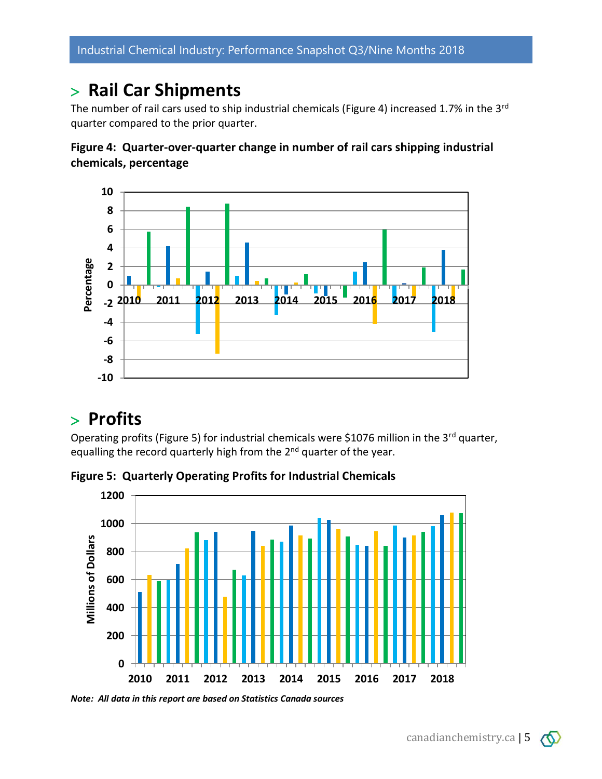### **Rail Car Shipments**

The number of rail cars used to ship industrial chemicals (Figure 4) increased 1.7% in the 3<sup>rd</sup> quarter compared to the prior quarter.

**Figure 4: Quarter-over-quarter change in number of rail cars shipping industrial chemicals, percentage**



## **Profits**

Operating profits (Figure 5) for industrial chemicals were \$1076 million in the 3<sup>rd</sup> quarter, equalling the record quarterly high from the 2<sup>nd</sup> quarter of the year.

**Figure 5: Quarterly Operating Profits for Industrial Chemicals**



*Note: All data in this report are based on Statistics Canada sources*